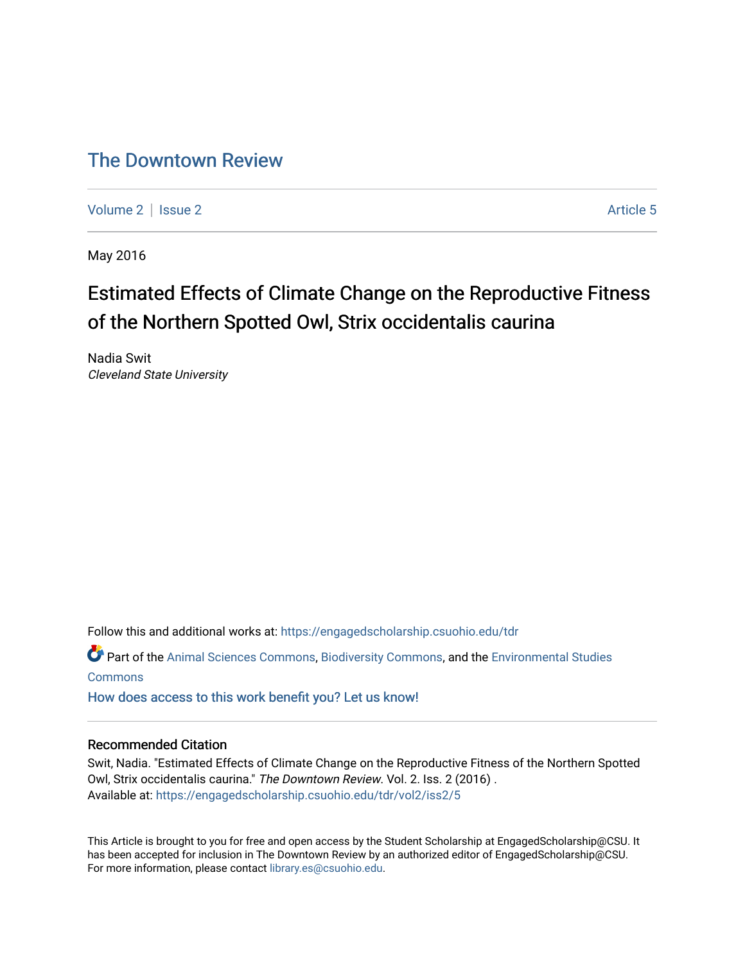# [The Downtown Review](https://engagedscholarship.csuohio.edu/tdr)

[Volume 2](https://engagedscholarship.csuohio.edu/tdr/vol2) | [Issue 2](https://engagedscholarship.csuohio.edu/tdr/vol2/iss2) Article 5

May 2016

# Estimated Effects of Climate Change on the Reproductive Fitness of the Northern Spotted Owl, Strix occidentalis caurina

Nadia Swit Cleveland State University

Follow this and additional works at: [https://engagedscholarship.csuohio.edu/tdr](https://engagedscholarship.csuohio.edu/tdr?utm_source=engagedscholarship.csuohio.edu%2Ftdr%2Fvol2%2Fiss2%2F5&utm_medium=PDF&utm_campaign=PDFCoverPages) 

Part of the [Animal Sciences Commons,](http://network.bepress.com/hgg/discipline/76?utm_source=engagedscholarship.csuohio.edu%2Ftdr%2Fvol2%2Fiss2%2F5&utm_medium=PDF&utm_campaign=PDFCoverPages) [Biodiversity Commons](http://network.bepress.com/hgg/discipline/1127?utm_source=engagedscholarship.csuohio.edu%2Ftdr%2Fvol2%2Fiss2%2F5&utm_medium=PDF&utm_campaign=PDFCoverPages), and the [Environmental Studies](http://network.bepress.com/hgg/discipline/1333?utm_source=engagedscholarship.csuohio.edu%2Ftdr%2Fvol2%2Fiss2%2F5&utm_medium=PDF&utm_campaign=PDFCoverPages) **[Commons](http://network.bepress.com/hgg/discipline/1333?utm_source=engagedscholarship.csuohio.edu%2Ftdr%2Fvol2%2Fiss2%2F5&utm_medium=PDF&utm_campaign=PDFCoverPages)** 

[How does access to this work benefit you? Let us know!](http://library.csuohio.edu/engaged/)

#### Recommended Citation

Swit, Nadia. "Estimated Effects of Climate Change on the Reproductive Fitness of the Northern Spotted Owl, Strix occidentalis caurina." The Downtown Review. Vol. 2. Iss. 2 (2016) . Available at: [https://engagedscholarship.csuohio.edu/tdr/vol2/iss2/5](https://engagedscholarship.csuohio.edu/tdr/vol2/iss2/5?utm_source=engagedscholarship.csuohio.edu%2Ftdr%2Fvol2%2Fiss2%2F5&utm_medium=PDF&utm_campaign=PDFCoverPages) 

This Article is brought to you for free and open access by the Student Scholarship at EngagedScholarship@CSU. It has been accepted for inclusion in The Downtown Review by an authorized editor of EngagedScholarship@CSU. For more information, please contact [library.es@csuohio.edu.](mailto:library.es@csuohio.edu)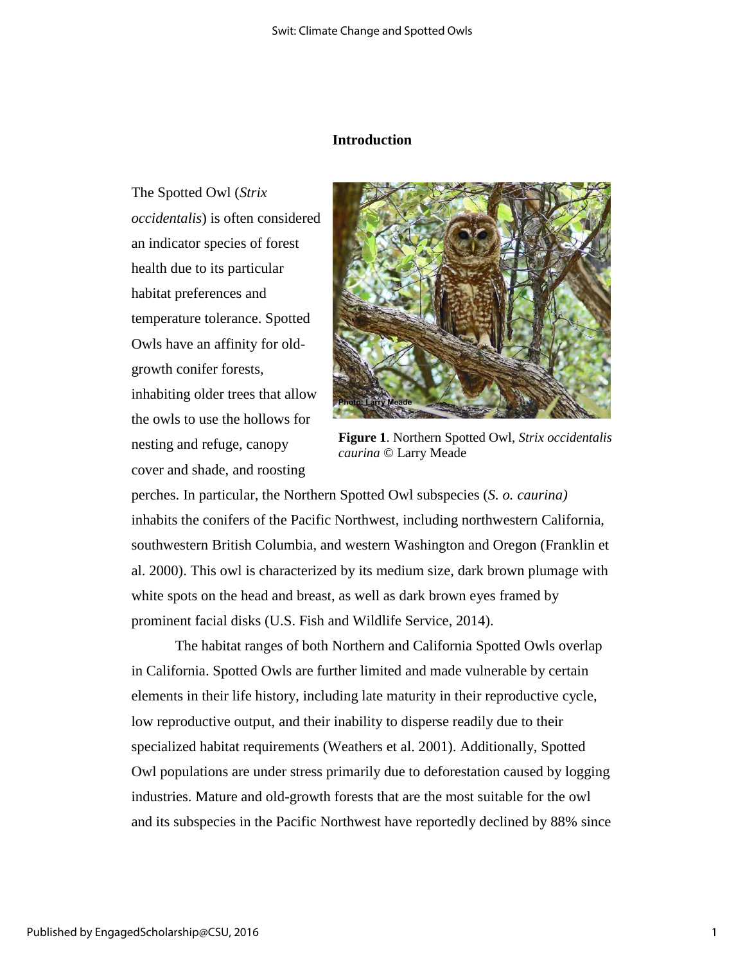## **Introduction**

The Spotted Owl (*Strix occidentalis*) is often considered an indicator species of forest health due to its particular habitat preferences and temperature tolerance. Spotted Owls have an affinity for oldgrowth conifer forests, inhabiting older trees that allow the owls to use the hollows for nesting and refuge, canopy cover and shade, and roosting



**Figure 1**. Northern Spotted Owl, *Strix occidentalis caurina* © Larry Meade

perches. In particular, the Northern Spotted Owl subspecies (*S. o. caurina)*  inhabits the conifers of the Pacific Northwest, including northwestern California, southwestern British Columbia, and western Washington and Oregon (Franklin et al. 2000). This owl is characterized by its medium size, dark brown plumage with white spots on the head and breast, as well as dark brown eyes framed by prominent facial disks (U.S. Fish and Wildlife Service, 2014).

The habitat ranges of both Northern and California Spotted Owls overlap in California. Spotted Owls are further limited and made vulnerable by certain elements in their life history, including late maturity in their reproductive cycle, low reproductive output, and their inability to disperse readily due to their specialized habitat requirements (Weathers et al. 2001). Additionally, Spotted Owl populations are under stress primarily due to deforestation caused by logging industries. Mature and old-growth forests that are the most suitable for the owl and its subspecies in the Pacific Northwest have reportedly declined by 88% since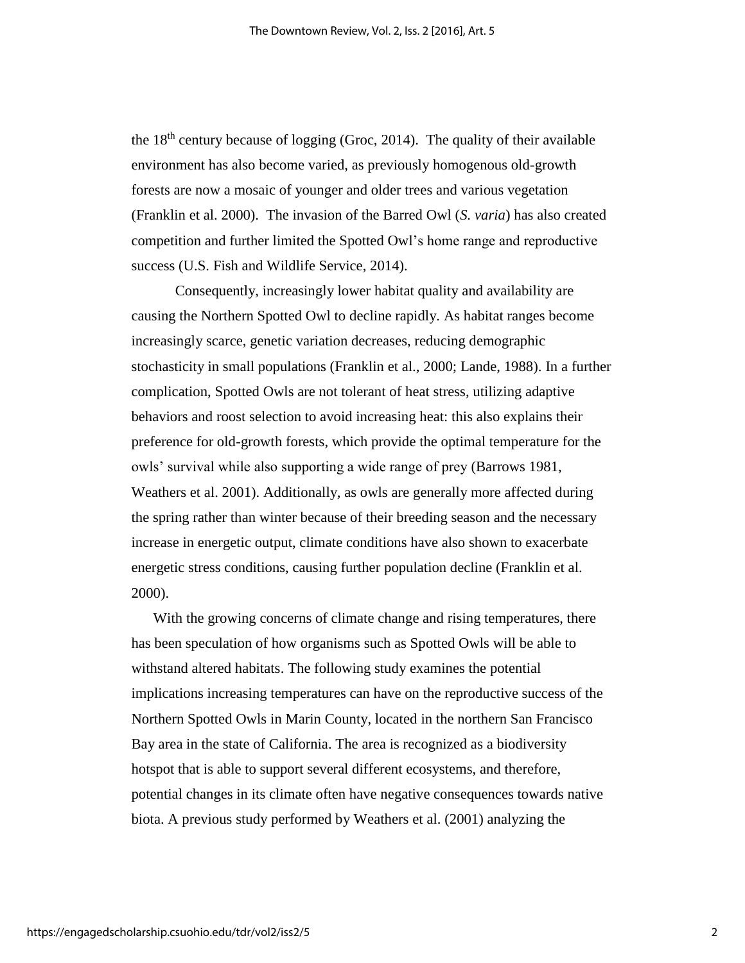the  $18<sup>th</sup>$  century because of logging (Groc, 2014). The quality of their available environment has also become varied, as previously homogenous old-growth forests are now a mosaic of younger and older trees and various vegetation (Franklin et al. 2000). The invasion of the Barred Owl (*S. varia*) has also created competition and further limited the Spotted Owl's home range and reproductive success (U.S. Fish and Wildlife Service, 2014).

Consequently, increasingly lower habitat quality and availability are causing the Northern Spotted Owl to decline rapidly. As habitat ranges become increasingly scarce, genetic variation decreases, reducing demographic stochasticity in small populations (Franklin et al., 2000; Lande, 1988). In a further complication, Spotted Owls are not tolerant of heat stress, utilizing adaptive behaviors and roost selection to avoid increasing heat: this also explains their preference for old-growth forests, which provide the optimal temperature for the owls' survival while also supporting a wide range of prey (Barrows 1981, Weathers et al. 2001). Additionally, as owls are generally more affected during the spring rather than winter because of their breeding season and the necessary increase in energetic output, climate conditions have also shown to exacerbate energetic stress conditions, causing further population decline (Franklin et al. 2000).

With the growing concerns of climate change and rising temperatures, there has been speculation of how organisms such as Spotted Owls will be able to withstand altered habitats. The following study examines the potential implications increasing temperatures can have on the reproductive success of the Northern Spotted Owls in Marin County, located in the northern San Francisco Bay area in the state of California. The area is recognized as a biodiversity hotspot that is able to support several different ecosystems, and therefore, potential changes in its climate often have negative consequences towards native biota. A previous study performed by Weathers et al. (2001) analyzing the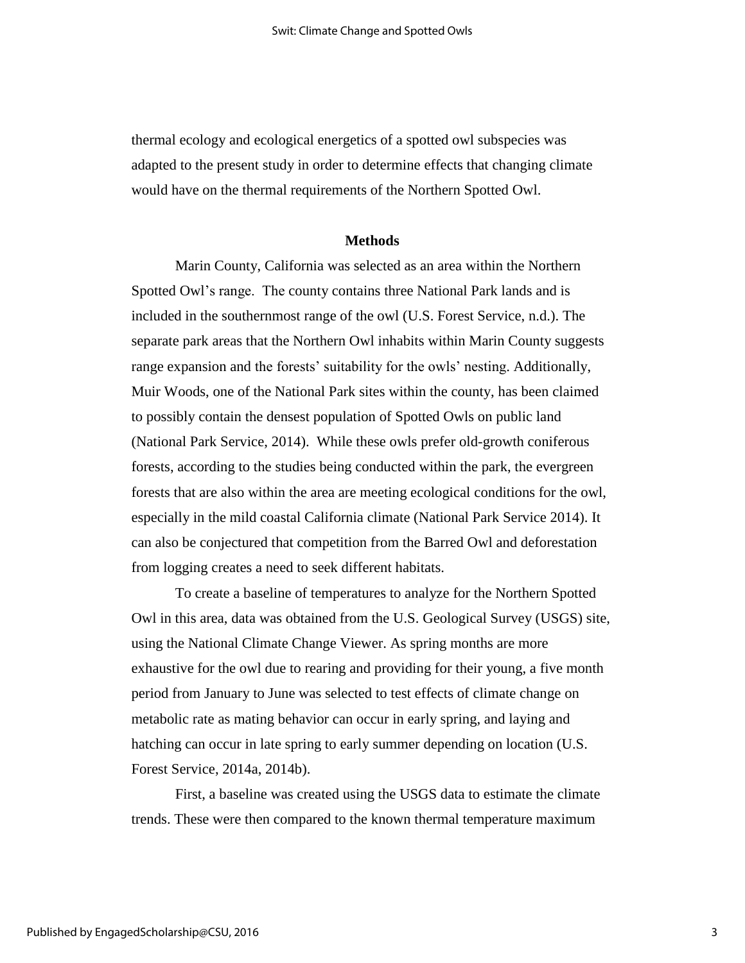thermal ecology and ecological energetics of a spotted owl subspecies was adapted to the present study in order to determine effects that changing climate would have on the thermal requirements of the Northern Spotted Owl.

### **Methods**

Marin County, California was selected as an area within the Northern Spotted Owl's range. The county contains three National Park lands and is included in the southernmost range of the owl (U.S. Forest Service, n.d.). The separate park areas that the Northern Owl inhabits within Marin County suggests range expansion and the forests' suitability for the owls' nesting. Additionally, Muir Woods, one of the National Park sites within the county, has been claimed to possibly contain the densest population of Spotted Owls on public land (National Park Service, 2014). While these owls prefer old-growth coniferous forests, according to the studies being conducted within the park, the evergreen forests that are also within the area are meeting ecological conditions for the owl, especially in the mild coastal California climate (National Park Service 2014). It can also be conjectured that competition from the Barred Owl and deforestation from logging creates a need to seek different habitats.

To create a baseline of temperatures to analyze for the Northern Spotted Owl in this area, data was obtained from the U.S. Geological Survey (USGS) site, using the National Climate Change Viewer. As spring months are more exhaustive for the owl due to rearing and providing for their young, a five month period from January to June was selected to test effects of climate change on metabolic rate as mating behavior can occur in early spring, and laying and hatching can occur in late spring to early summer depending on location (U.S. Forest Service, 2014a, 2014b).

First, a baseline was created using the USGS data to estimate the climate trends. These were then compared to the known thermal temperature maximum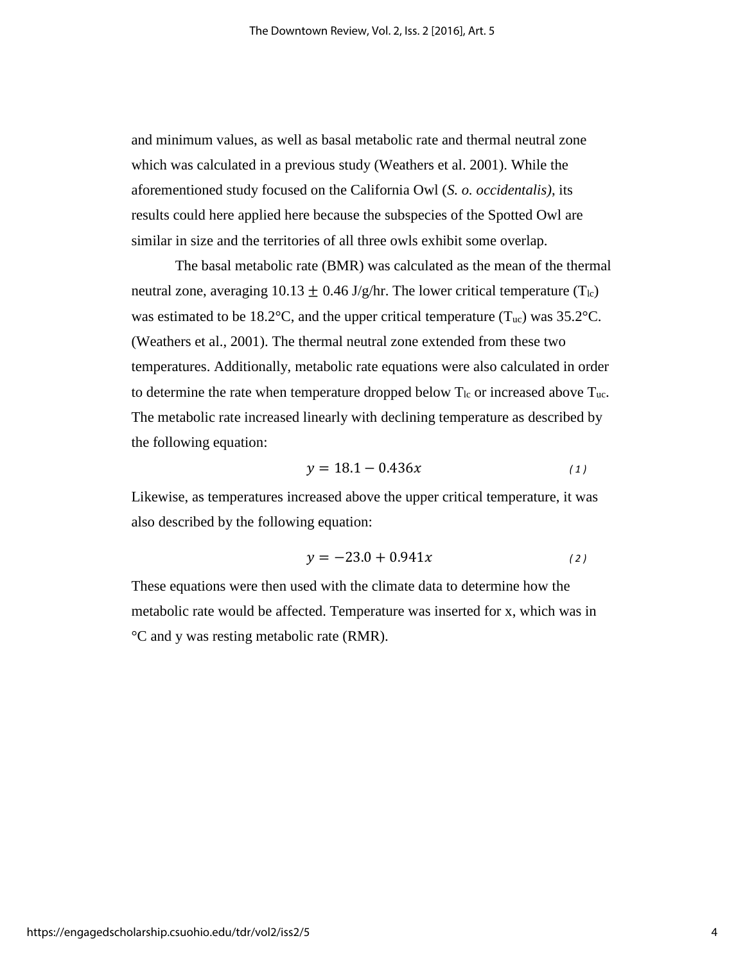and minimum values, as well as basal metabolic rate and thermal neutral zone which was calculated in a previous study (Weathers et al. 2001). While the aforementioned study focused on the California Owl (*S. o. occidentalis)*, its results could here applied here because the subspecies of the Spotted Owl are similar in size and the territories of all three owls exhibit some overlap.

The basal metabolic rate (BMR) was calculated as the mean of the thermal neutral zone, averaging 10.13  $\pm$  0.46 J/g/hr. The lower critical temperature (T<sub>lc</sub>) was estimated to be 18.2°C, and the upper critical temperature  $(T_{uc})$  was 35.2°C. (Weathers et al., 2001). The thermal neutral zone extended from these two temperatures. Additionally, metabolic rate equations were also calculated in order to determine the rate when temperature dropped below  $T_{lc}$  or increased above  $T_{uc}$ . The metabolic rate increased linearly with declining temperature as described by the following equation:

$$
y = 18.1 - 0.436x \tag{1}
$$

Likewise, as temperatures increased above the upper critical temperature, it was also described by the following equation:

$$
y = -23.0 + 0.941x \tag{2}
$$

These equations were then used with the climate data to determine how the metabolic rate would be affected. Temperature was inserted for x, which was in °C and y was resting metabolic rate (RMR).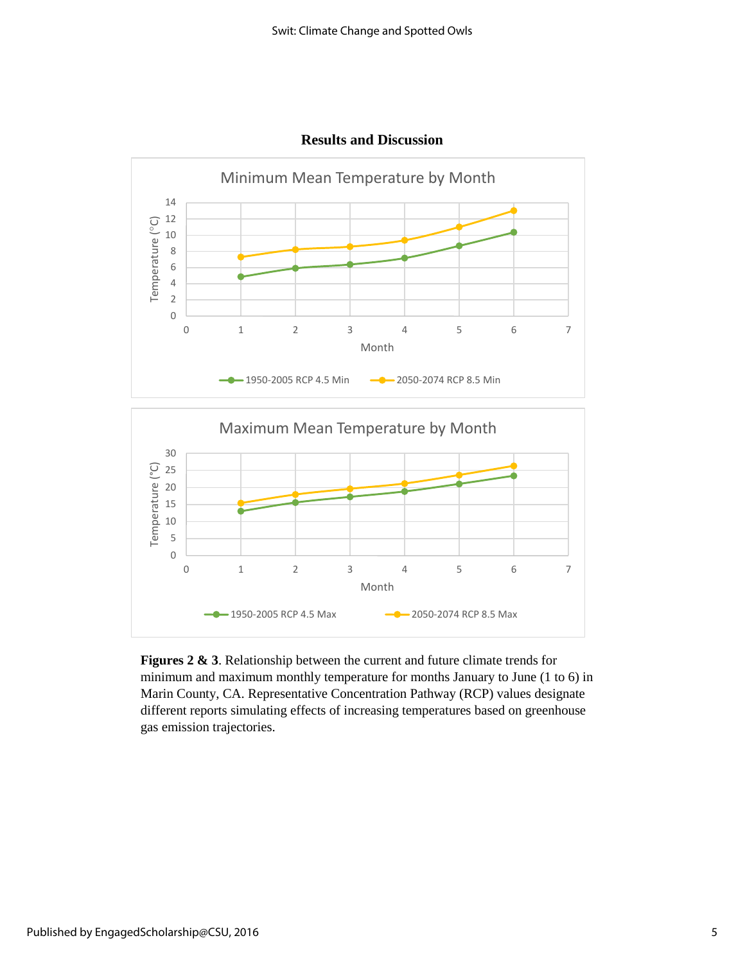

**Results and Discussion**



**Figures 2 & 3**. Relationship between the current and future climate trends for minimum and maximum monthly temperature for months January to June (1 to 6) in Marin County, CA. Representative Concentration Pathway (RCP) values designate different reports simulating effects of increasing temperatures based on greenhouse gas emission trajectories.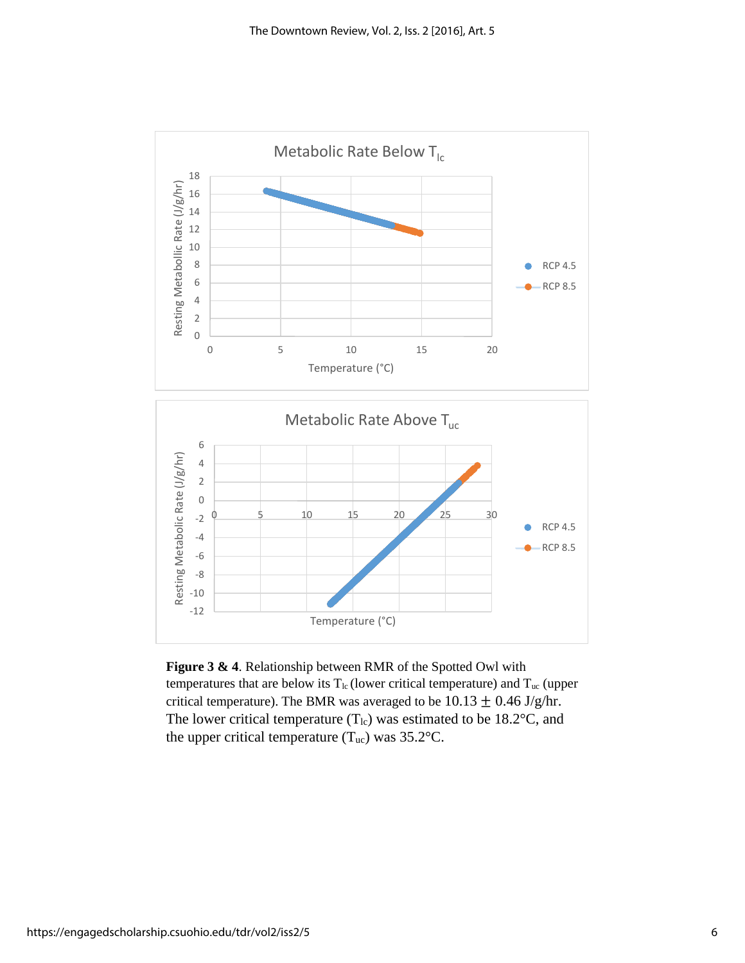

**Figure 3 & 4**. Relationship between RMR of the Spotted Owl with temperatures that are below its  $T_{lc}$  (lower critical temperature) and  $T_{uc}$  (upper critical temperature). The BMR was averaged to be  $10.13 \pm 0.46$  J/g/hr. The lower critical temperature  $(T_{lc})$  was estimated to be 18.2°C, and the upper critical temperature  $(T_{uc})$  was 35.2°C.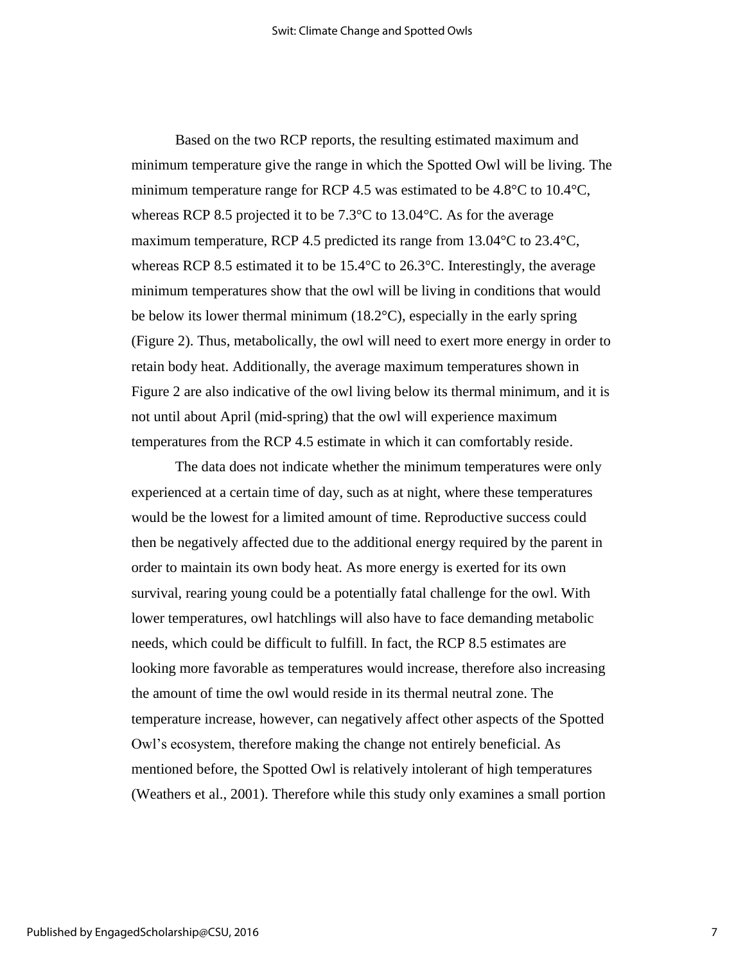Based on the two RCP reports, the resulting estimated maximum and minimum temperature give the range in which the Spotted Owl will be living. The minimum temperature range for RCP 4.5 was estimated to be  $4.8^{\circ}$ C to  $10.4^{\circ}$ C, whereas RCP 8.5 projected it to be 7.3°C to 13.04°C. As for the average maximum temperature, RCP 4.5 predicted its range from 13.04°C to 23.4°C, whereas RCP 8.5 estimated it to be 15.4°C to 26.3°C. Interestingly, the average minimum temperatures show that the owl will be living in conditions that would be below its lower thermal minimum (18.2°C), especially in the early spring (Figure 2). Thus, metabolically, the owl will need to exert more energy in order to retain body heat. Additionally, the average maximum temperatures shown in Figure 2 are also indicative of the owl living below its thermal minimum, and it is not until about April (mid-spring) that the owl will experience maximum temperatures from the RCP 4.5 estimate in which it can comfortably reside.

The data does not indicate whether the minimum temperatures were only experienced at a certain time of day, such as at night, where these temperatures would be the lowest for a limited amount of time. Reproductive success could then be negatively affected due to the additional energy required by the parent in order to maintain its own body heat. As more energy is exerted for its own survival, rearing young could be a potentially fatal challenge for the owl. With lower temperatures, owl hatchlings will also have to face demanding metabolic needs, which could be difficult to fulfill. In fact, the RCP 8.5 estimates are looking more favorable as temperatures would increase, therefore also increasing the amount of time the owl would reside in its thermal neutral zone. The temperature increase, however, can negatively affect other aspects of the Spotted Owl's ecosystem, therefore making the change not entirely beneficial. As mentioned before, the Spotted Owl is relatively intolerant of high temperatures (Weathers et al., 2001). Therefore while this study only examines a small portion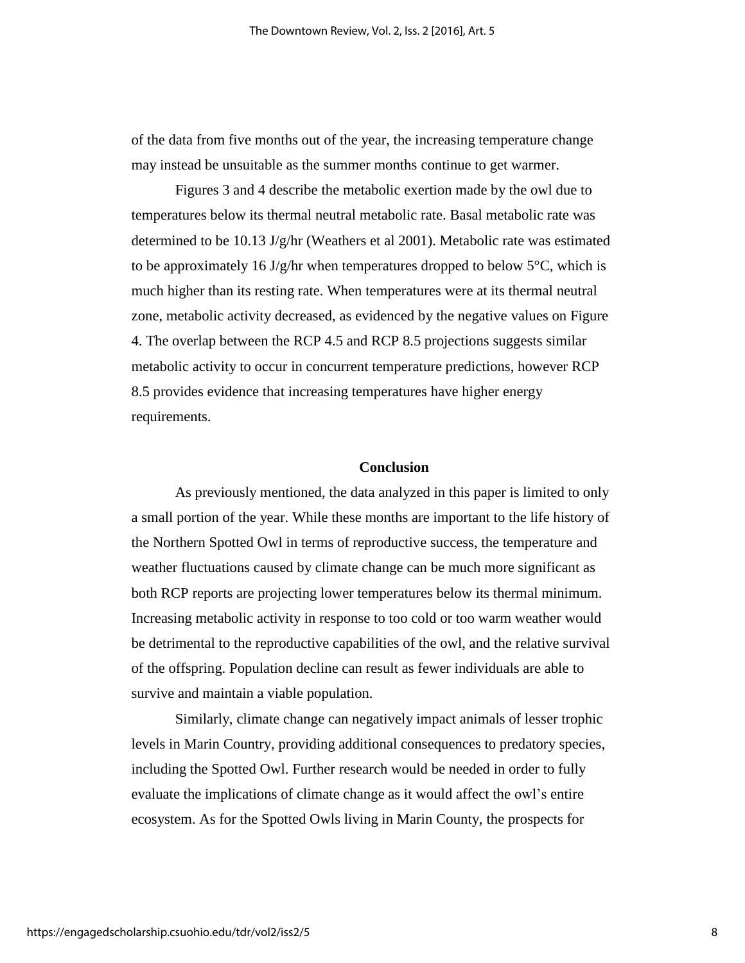of the data from five months out of the year, the increasing temperature change may instead be unsuitable as the summer months continue to get warmer.

Figures 3 and 4 describe the metabolic exertion made by the owl due to temperatures below its thermal neutral metabolic rate. Basal metabolic rate was determined to be 10.13 J/g/hr (Weathers et al 2001). Metabolic rate was estimated to be approximately 16 J/g/hr when temperatures dropped to below  $5^{\circ}$ C, which is much higher than its resting rate. When temperatures were at its thermal neutral zone, metabolic activity decreased, as evidenced by the negative values on Figure 4. The overlap between the RCP 4.5 and RCP 8.5 projections suggests similar metabolic activity to occur in concurrent temperature predictions, however RCP 8.5 provides evidence that increasing temperatures have higher energy requirements.

#### **Conclusion**

As previously mentioned, the data analyzed in this paper is limited to only a small portion of the year. While these months are important to the life history of the Northern Spotted Owl in terms of reproductive success, the temperature and weather fluctuations caused by climate change can be much more significant as both RCP reports are projecting lower temperatures below its thermal minimum. Increasing metabolic activity in response to too cold or too warm weather would be detrimental to the reproductive capabilities of the owl, and the relative survival of the offspring. Population decline can result as fewer individuals are able to survive and maintain a viable population.

Similarly, climate change can negatively impact animals of lesser trophic levels in Marin Country, providing additional consequences to predatory species, including the Spotted Owl. Further research would be needed in order to fully evaluate the implications of climate change as it would affect the owl's entire ecosystem. As for the Spotted Owls living in Marin County, the prospects for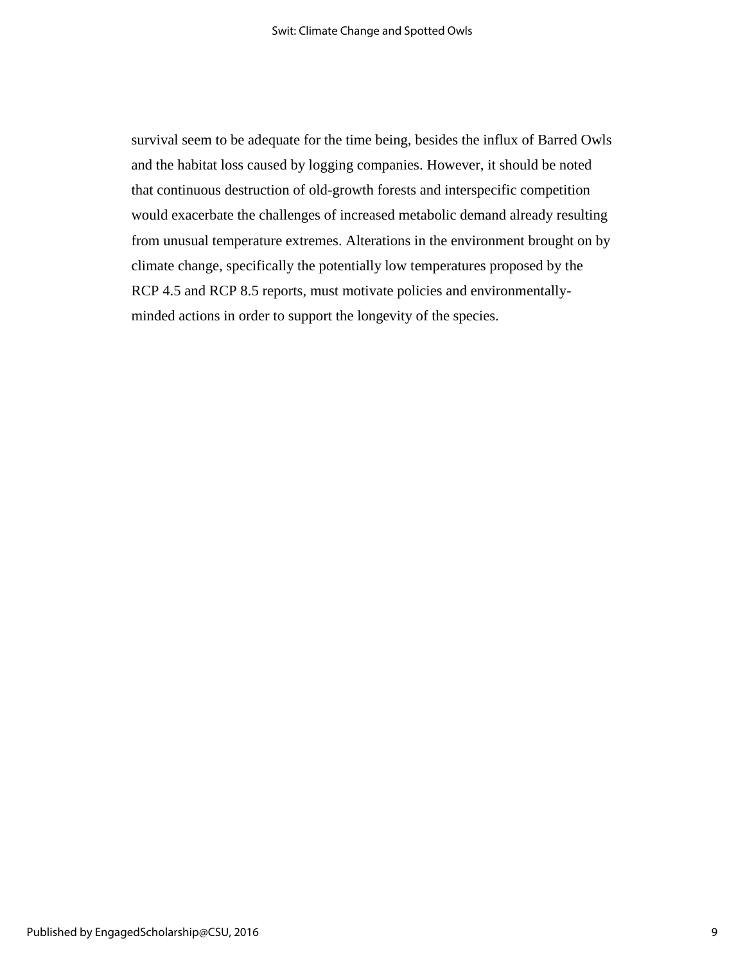survival seem to be adequate for the time being, besides the influx of Barred Owls and the habitat loss caused by logging companies. However, it should be noted that continuous destruction of old-growth forests and interspecific competition would exacerbate the challenges of increased metabolic demand already resulting from unusual temperature extremes. Alterations in the environment brought on by climate change, specifically the potentially low temperatures proposed by the RCP 4.5 and RCP 8.5 reports, must motivate policies and environmentallyminded actions in order to support the longevity of the species.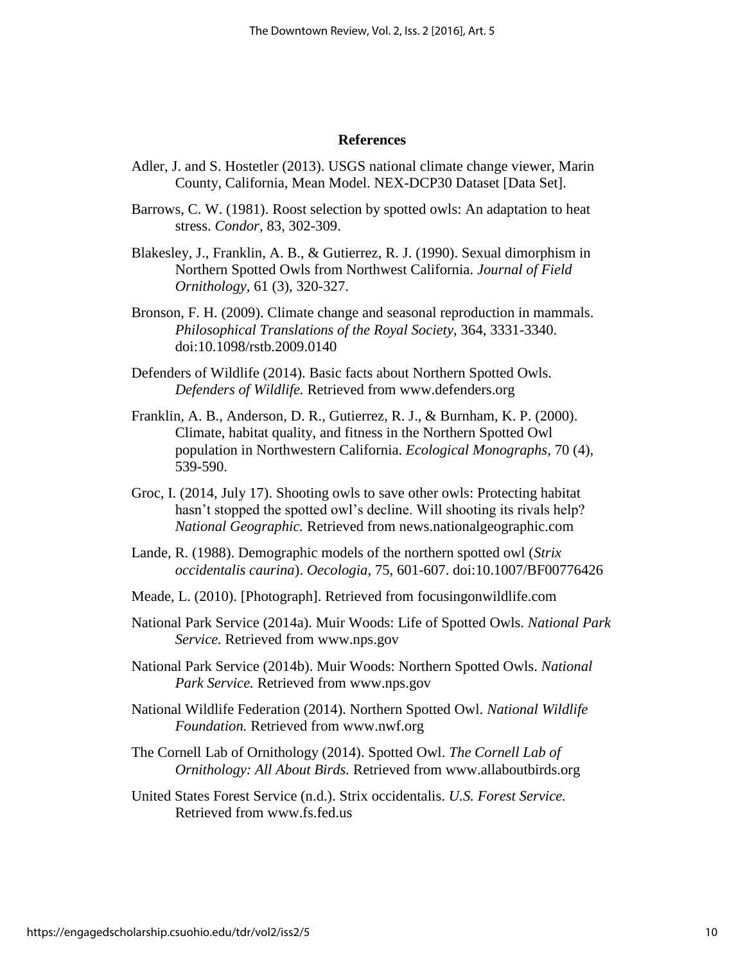#### **References**

- Adler, J. and S. Hostetler (2013). USGS national climate change viewer, Marin County, California, Mean Model. NEX-DCP30 Dataset [Data Set].
- Barrows, C. W. (1981). Roost selection by spotted owls: An adaptation to heat stress. *Condor,* 83, 302-309.
- Blakesley, J., Franklin, A. B., & Gutierrez, R. J. (1990). Sexual dimorphism in Northern Spotted Owls from Northwest California. *Journal of Field Ornithology,* 61 (3), 320-327.
- Bronson, F. H. (2009). Climate change and seasonal reproduction in mammals. *Philosophical Translations of the Royal Society,* 364, 3331-3340. doi:10.1098/rstb.2009.0140
- Defenders of Wildlife (2014). Basic facts about Northern Spotted Owls. *Defenders of Wildlife.* Retrieved from [www.defenders.org](http://www.defenders.org/)
- Franklin, A. B., Anderson, D. R., Gutierrez, R. J., & Burnham, K. P. (2000). Climate, habitat quality, and fitness in the Northern Spotted Owl population in Northwestern California. *Ecological Monographs,* 70 (4), 539-590.
- Groc, I. (2014, July 17). Shooting owls to save other owls: Protecting habitat hasn't stopped the spotted owl's decline. Will shooting its rivals help? *National Geographic.* Retrieved from news.nationalgeographic.com
- Lande, R. (1988). Demographic models of the northern spotted owl (*Strix occidentalis caurina*). *Oecologia,* 75, 601-607. doi:10.1007/BF00776426
- Meade, L. (2010). [Photograph]. Retrieved from focusingonwildlife.com
- National Park Service (2014a). Muir Woods: Life of Spotted Owls. *National Park Service.* Retrieved from [www.nps.gov](http://www.nps.gov/)
- National Park Service (2014b). Muir Woods: Northern Spotted Owls. *National Park Service.* Retrieved from [www.nps.gov](http://www.nps.gov/)
- National Wildlife Federation (2014). Northern Spotted Owl. *National Wildlife Foundation.* Retrieved from [www.nwf.org](http://www.nwf.org/)
- The Cornell Lab of Ornithology (2014). Spotted Owl. *The Cornell Lab of Ornithology: All About Birds.* Retrieved from [www.allaboutbirds.org](http://www.allaboutbirds.org/)

United States Forest Service (n.d.). Strix occidentalis. *U.S. Forest Service.*  Retrieved from [www.fs.fed.us](http://www.fs.fed.us/)